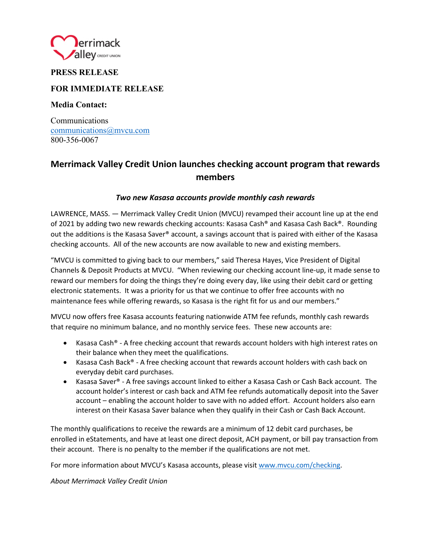

## **PRESS RELEASE**

### **FOR IMMEDIATE RELEASE**

**Media Contact:** 

Communications communications@mvcu.com 800-356-0067

# **Merrimack Valley Credit Union launches checking account program that rewards members**

### *Two new Kasasa accounts provide monthly cash rewards*

LAWRENCE, MASS. — Merrimack Valley Credit Union (MVCU) revamped their account line up at the end of 2021 by adding two new rewards checking accounts: Kasasa Cash® and Kasasa Cash Back®. Rounding out the additions is the Kasasa Saver® account, a savings account that is paired with either of the Kasasa checking accounts. All of the new accounts are now available to new and existing members.

"MVCU is committed to giving back to our members," said Theresa Hayes, Vice President of Digital Channels & Deposit Products at MVCU. "When reviewing our checking account line-up, it made sense to reward our members for doing the things they're doing every day, like using their debit card or getting electronic statements. It was a priority for us that we continue to offer free accounts with no maintenance fees while offering rewards, so Kasasa is the right fit for us and our members."

MVCU now offers free Kasasa accounts featuring nationwide ATM fee refunds, monthly cash rewards that require no minimum balance, and no monthly service fees. These new accounts are:

- Kasasa Cash® A free checking account that rewards account holders with high interest rates on their balance when they meet the qualifications.
- Kasasa Cash Back® A free checking account that rewards account holders with cash back on everyday debit card purchases.
- Kasasa Saver® A free savings account linked to either a Kasasa Cash or Cash Back account. The account holder's interest or cash back and ATM fee refunds automatically deposit into the Saver account – enabling the account holder to save with no added effort. Account holders also earn interest on their Kasasa Saver balance when they qualify in their Cash or Cash Back Account.

The monthly qualifications to receive the rewards are a minimum of 12 debit card purchases, be enrolled in eStatements, and have at least one direct deposit, ACH payment, or bill pay transaction from their account. There is no penalty to the member if the qualifications are not met.

For more information about MVCU's Kasasa accounts, please visi[t www.mvcu.com/checking.](http://www.mvcu.com/checking)

*About Merrimack Valley Credit Union*